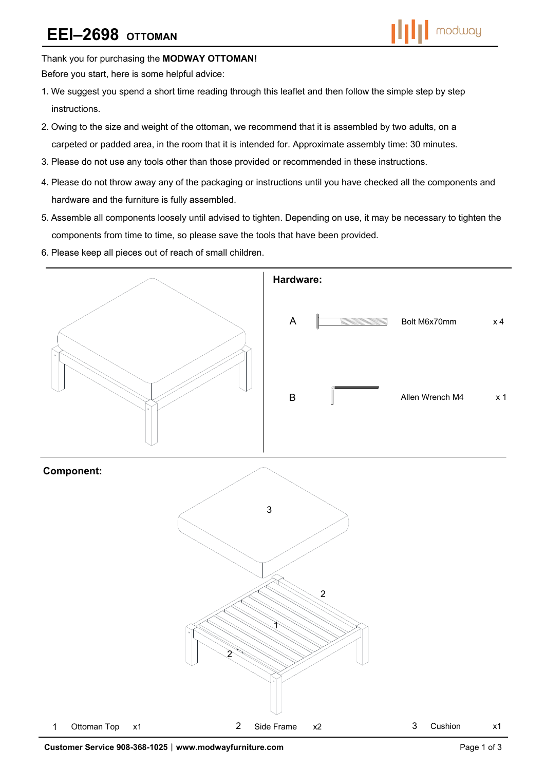# **EEI–2698 OTTOMAN**



Thank you for purchasing the **MODWAY OTTOMAN!** 

Before you start, here is some helpful advice:

- 1.We suggest you spend a short time reading through this leaflet and then follow the simple step by step instructions.
- 2.Owing to the size and weight of the ottoman, we recommend that it is assembled by two adults, on a carpeted or padded area, in the room that it is intended for. Approximate assembly time: 30 minutes.
- 3.Please do not use any tools other than those provided or recommended in these instructions.
- 4.Please do not throw away any of the packaging or instructions until you have checked all the components and hardware and the furniture is fully assembled.
- 5.Assemble all components loosely until advised to tighten. Depending on use, it may be necessary to tighten the components from time to time, so please save the tools that have been provided.
- 6.Please keep all pieces out of reach of small children.

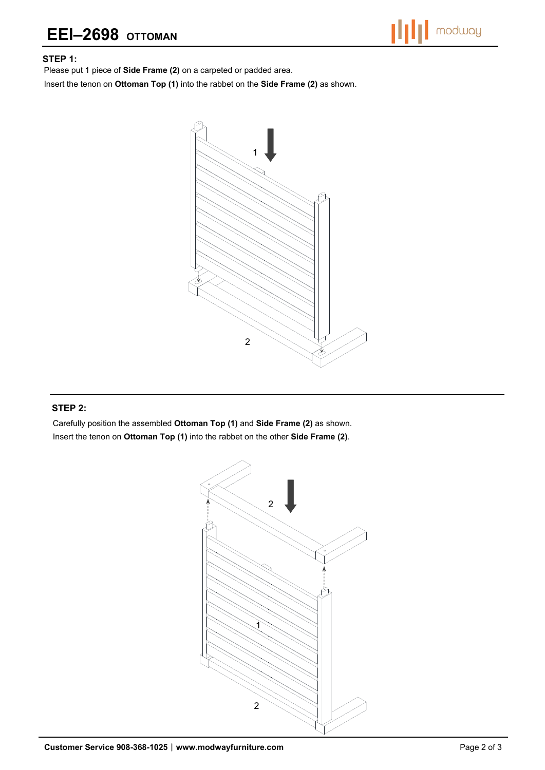# **EEI–2698 OTTOMAN**



#### **STEP 1:**

Please put 1 piece of **Side Frame (2)** on a carpeted or padded area.

Insert the tenon on **Ottoman Top (1)** into the rabbet on the **Side Frame (2)** as shown.



### **STEP 2:**

Carefully position the assembled **Ottoman Top (1)** and **Side Frame (2)** as shown. Insert the tenon on **Ottoman Top (1)** into the rabbet on the other **Side Frame (2)**.